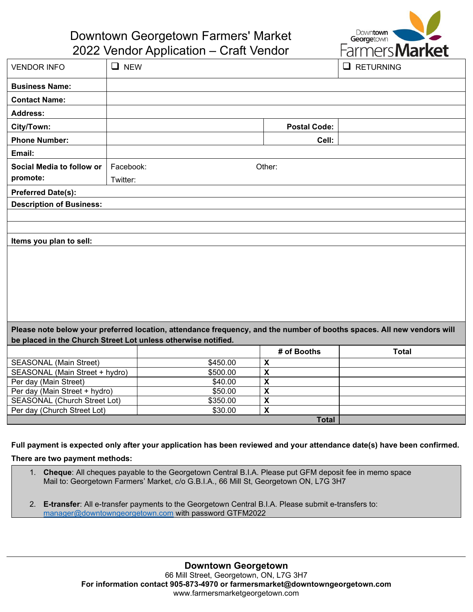

## Downtown Georgetown Farmers' Market

2022 Vendor Application – Craft Vendor

| <b>VENDOR INFO</b>                                                                                                                                                                      | $\Box$ NEW           |  |                              | $\Box$ RETURNING |
|-----------------------------------------------------------------------------------------------------------------------------------------------------------------------------------------|----------------------|--|------------------------------|------------------|
| <b>Business Name:</b>                                                                                                                                                                   |                      |  |                              |                  |
| <b>Contact Name:</b>                                                                                                                                                                    |                      |  |                              |                  |
| <b>Address:</b>                                                                                                                                                                         |                      |  |                              |                  |
| City/Town:                                                                                                                                                                              |                      |  | <b>Postal Code:</b>          |                  |
| <b>Phone Number:</b>                                                                                                                                                                    |                      |  | Cell:                        |                  |
| Email:                                                                                                                                                                                  |                      |  |                              |                  |
| Social Media to follow or                                                                                                                                                               | Facebook:<br>Other:  |  |                              |                  |
| promote:                                                                                                                                                                                | Twitter:             |  |                              |                  |
| <b>Preferred Date(s):</b>                                                                                                                                                               |                      |  |                              |                  |
| <b>Description of Business:</b>                                                                                                                                                         |                      |  |                              |                  |
|                                                                                                                                                                                         |                      |  |                              |                  |
|                                                                                                                                                                                         |                      |  |                              |                  |
| Items you plan to sell:                                                                                                                                                                 |                      |  |                              |                  |
|                                                                                                                                                                                         |                      |  |                              |                  |
|                                                                                                                                                                                         |                      |  |                              |                  |
|                                                                                                                                                                                         |                      |  |                              |                  |
|                                                                                                                                                                                         |                      |  |                              |                  |
|                                                                                                                                                                                         |                      |  |                              |                  |
|                                                                                                                                                                                         |                      |  |                              |                  |
|                                                                                                                                                                                         |                      |  |                              |                  |
| Please note below your preferred location, attendance frequency, and the number of booths spaces. All new vendors will<br>be placed in the Church Street Lot unless otherwise notified. |                      |  |                              |                  |
|                                                                                                                                                                                         |                      |  |                              |                  |
|                                                                                                                                                                                         |                      |  | # of Booths                  | <b>Total</b>     |
| <b>SEASONAL (Main Street)</b><br>SEASONAL (Main Street + hydro)                                                                                                                         | \$450.00<br>\$500.00 |  | X<br>$\overline{\mathbf{X}}$ |                  |
| Per day (Main Street)                                                                                                                                                                   | \$40.00              |  | $\overline{\mathbf{X}}$      |                  |
| Per day (Main Street + hydro)                                                                                                                                                           | \$50.00              |  | $\overline{\mathbf{X}}$      |                  |
| <b>SEASONAL (Church Street Lot)</b>                                                                                                                                                     | \$350.00             |  | $\overline{\mathbf{X}}$      |                  |
| Per day (Church Street Lot)                                                                                                                                                             | \$30.00              |  | $\overline{\mathbf{x}}$      |                  |
|                                                                                                                                                                                         |                      |  | <b>Total</b>                 |                  |

**Full payment is expected only after your application has been reviewed and your attendance date(s) have been confirmed.**

**There are two payment methods:**

- 1. **Cheque**: All cheques payable to the Georgetown Central B.I.A. Please put GFM deposit fee in memo space Mail to: Georgetown Farmers' Market, c/o G.B.I.A., 66 Mill St, Georgetown ON, L7G 3H7
- 2. **E-transfer**: All e-transfer payments to the Georgetown Central B.I.A. Please submit e-transfers to: [manager@downtowngeorgetown.com](mailto:manager@downtowngeorgetown.com) with password GTFM2022